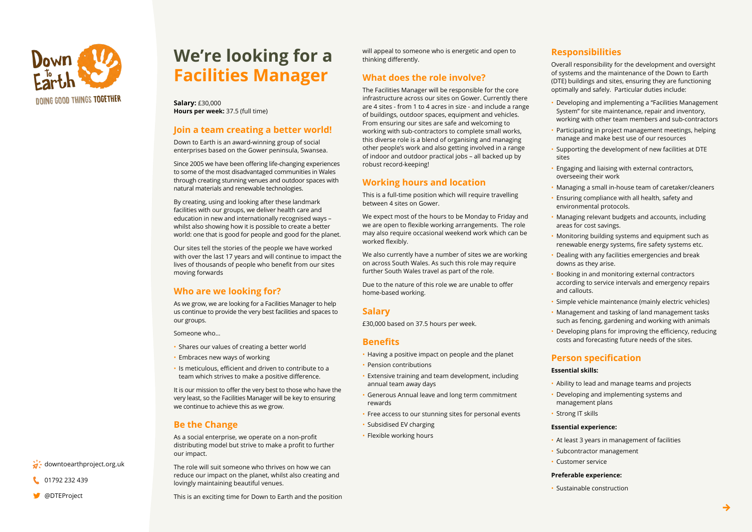

# **We're looking for a Facilities Manager**

**Salary: £30,000 Hours per week: 37.5 (full time)** 

## **loin a team creating a better world!**

Down to Earth is an award-winning group of social enterprises based on the Gower peninsula, Swansea.

Since 2005 we have been offering life-changing experiences to some of the most disadvantaged communities in Wales through creating stunning venues and outdoor spaces with natural materials and renewable technologies.

By creating, using and looking after these landmark facilities with our groups, we deliver health care and education in new and internationally recognised ways whilst also showing how it is possible to create a better world: one that is good for people and good for the planet.

Our sites tell the stories of the people we have worked with over the last 17 years and will continue to impact the lives of thousands of people who benefit from our sites moving forwards

# **Who are we looking for?**

As we grow, we are looking for a Facilities Manager to help us continue to provide the very best facilities and spaces to our groups.

Someone who

- Shares our values of creating a better world
- Embraces new ways of working
- $\cdot$  Is meticulous, efficient and driven to contribute to a team which strives to make a positive difference.

It is our mission to offer the very best to those who have the very least, so the Facilities Manager will be key to ensuring we continue to achieve this as we grow.

# **Be the Change**

As a social enterprise, we operate on a non-profit distributing model but strive to make a profit to further our impact.

The role will suit someone who thrives on how we can reduce our impact on the planet, whilst also creating and lovingly maintaining beautiful venues.

This is an exciting time for Down to Earth and the position

will appeal to someone who is energetic and open to thinking differently.

# **What does the role involve?**

The Facilities Manager will be responsible for the core infrastructure across our sites on Gower. Currently there are 4 sites - from 1 to 4 acres in size - and include a range of buildings, outdoor spaces, equipment and vehicles. From ensuring our sites are safe and welcoming to working with sub-contractors to complete small works, this diverse role is a blend of organising and managing other people's work and also getting involved in a range of indoor and outdoor practical jobs – all backed up by robust record-keeping!

# **Working hours and location**

This is a full-time position which will require travelling between 4 sites on Gower.

We expect most of the hours to be Monday to Friday and we are open to flexible working arrangements. The role may also require occasional weekend work which can be worked flexibly.

We also currently have a number of sites we are working on across South Wales. As such this role may require further South Wales travel as part of the role.

Due to the nature of this role we are unable to offer home-based working.

# **Salary**

£30,000 based on 37.5 hours per week.

## **Benefits**

- Having a positive impact on people and the planet
- Pension contributions
- Extensive training and team development, including annual team away days
- Generous Annual leave and long term commitment rewards
- Free access to our stunning sites for personal events
- Subsidised EV charging
- Flexible working hours

# **Responsibilities**

Overall responsibility for the development and oversight of systems and the maintenance of the Down to Earth (DTE) buildings and sites, ensuring they are functioning optimally and safely. Particular duties include:

- Developing and implementing a "Facilities Management System" for site maintenance, repair and inventory. working with other team members and sub-contractors
- Participating in project management meetings, helping manage and make best use of our resources
- Supporting the development of new facilities at DTE sites
- Engaging and liaising with external contractors, overseeing their work
- Managing a small in-house team of caretaker/cleaners
- Bealth safety and incompliance with all health, safety and environmental protocols.
- Managing relevant budgets and accounts, including areas for cost savings.
- Monitoring building systems and equipment such as renewable energy systems, fire safety systems etc.
- Dealing with any facilities emergencies and break downs as they arise.
- Booking in and monitoring external contractors according to service intervals and emergency repairs and callouts.
- · Simple vehicle maintenance (mainly electric vehicles)
- Management and tasking of land management tasks such as fencing, gardening and working with animals
- Developing plans for improving the efficiency, reducing costs and forecasting future needs of the sites.

# **specification Person**

#### **Essential skills:**

- Ability to lead and manage teams and projects
- Developing and implementing systems and management plans
- Strong IT skills

#### **Essential experience:**

- At least 3 years in management of facilities
- Subcontractor management
- Customer service

#### **Preferable experience:**

• Sustainable construction

**→**

01792 232 439

 $\overleftrightarrow{a}$ . downtoearthproject.org.uk

### @DTEProject